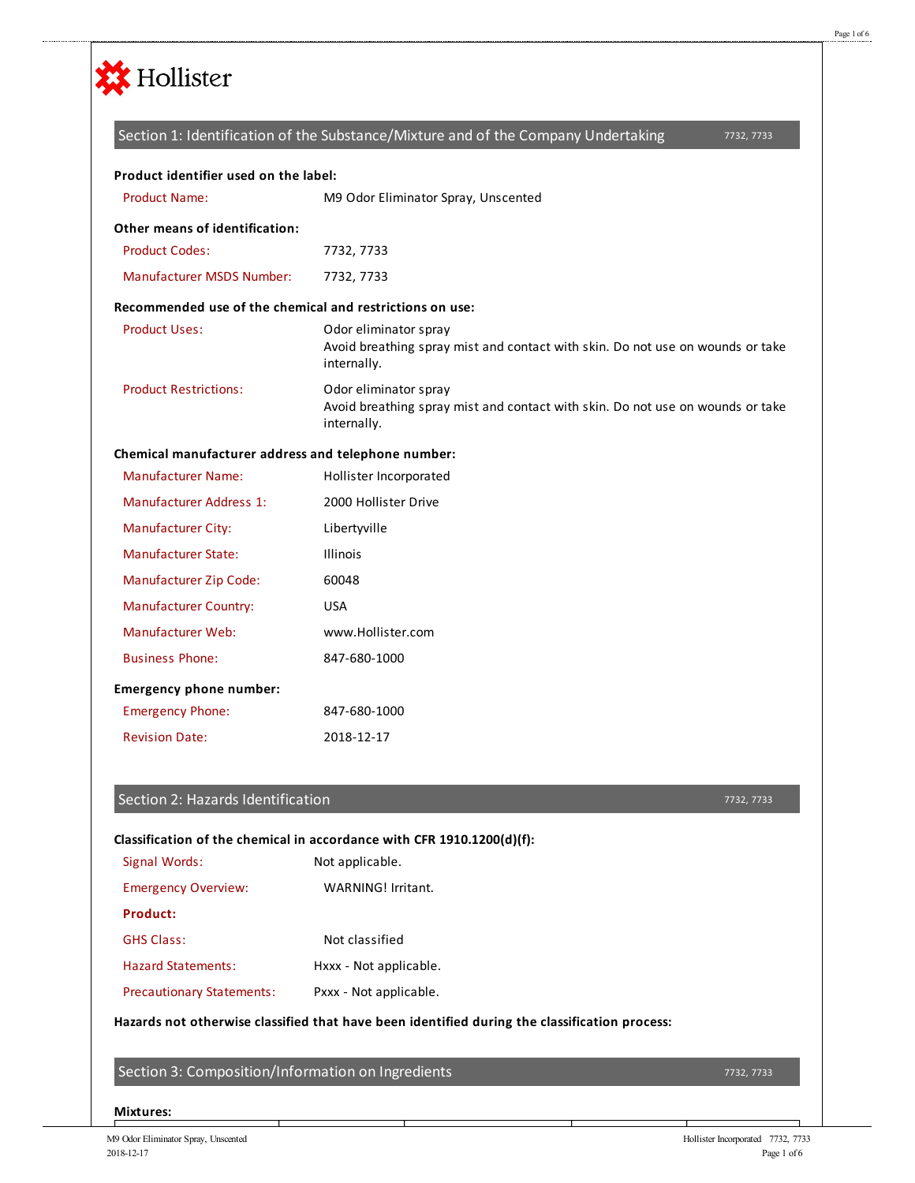

|                                                          | Section 1: Identification of the Substance/Mixture and of the Company Undertaking<br>7732, 7733                        |
|----------------------------------------------------------|------------------------------------------------------------------------------------------------------------------------|
| Product identifier used on the label:                    |                                                                                                                        |
| <b>Product Name:</b>                                     | M9 Odor Eliminator Spray, Unscented                                                                                    |
| Other means of identification:                           |                                                                                                                        |
| <b>Product Codes:</b>                                    | 7732, 7733                                                                                                             |
| <b>Manufacturer MSDS Number:</b>                         | 7732, 7733                                                                                                             |
| Recommended use of the chemical and restrictions on use: |                                                                                                                        |
| <b>Product Uses:</b>                                     | Odor eliminator spray<br>Avoid breathing spray mist and contact with skin. Do not use on wounds or take<br>internally. |
| <b>Product Restrictions:</b>                             | Odor eliminator spray<br>Avoid breathing spray mist and contact with skin. Do not use on wounds or take<br>internally. |
| Chemical manufacturer address and telephone number:      |                                                                                                                        |
| <b>Manufacturer Name:</b>                                | Hollister Incorporated                                                                                                 |
| <b>Manufacturer Address 1:</b>                           | 2000 Hollister Drive                                                                                                   |
| <b>Manufacturer City:</b>                                | Libertyville                                                                                                           |
| Manufacturer State:                                      | <b>Illinois</b>                                                                                                        |
| Manufacturer Zip Code:                                   | 60048                                                                                                                  |
| <b>Manufacturer Country:</b>                             | <b>USA</b>                                                                                                             |
| Manufacturer Web:                                        | www.Hollister.com                                                                                                      |
| <b>Business Phone:</b>                                   | 847-680-1000                                                                                                           |
| <b>Emergency phone number:</b>                           |                                                                                                                        |
| <b>Emergency Phone:</b>                                  | 847-680-1000                                                                                                           |
| <b>Revision Date:</b>                                    | 2018-12-17                                                                                                             |
|                                                          |                                                                                                                        |

### Section 2: Hazards Identification

#### 7732, 7733

## **Classification of the chemical in accordance with CFR 1910.1200(d)(f):**

| Signal Words:                    | Not applicable.        |
|----------------------------------|------------------------|
| <b>Emergency Overview:</b>       | WARNING! Irritant.     |
| Product:                         |                        |
| <b>GHS Class:</b>                | Not classified         |
| <b>Hazard Statements:</b>        | Hxxx - Not applicable. |
| <b>Precautionary Statements:</b> | Pxxx - Not applicable. |

### **Hazards not otherwise classified that have been identified during the classification process:**

Section 3: Composition/Information on Ingredients

#### **Mixtures:**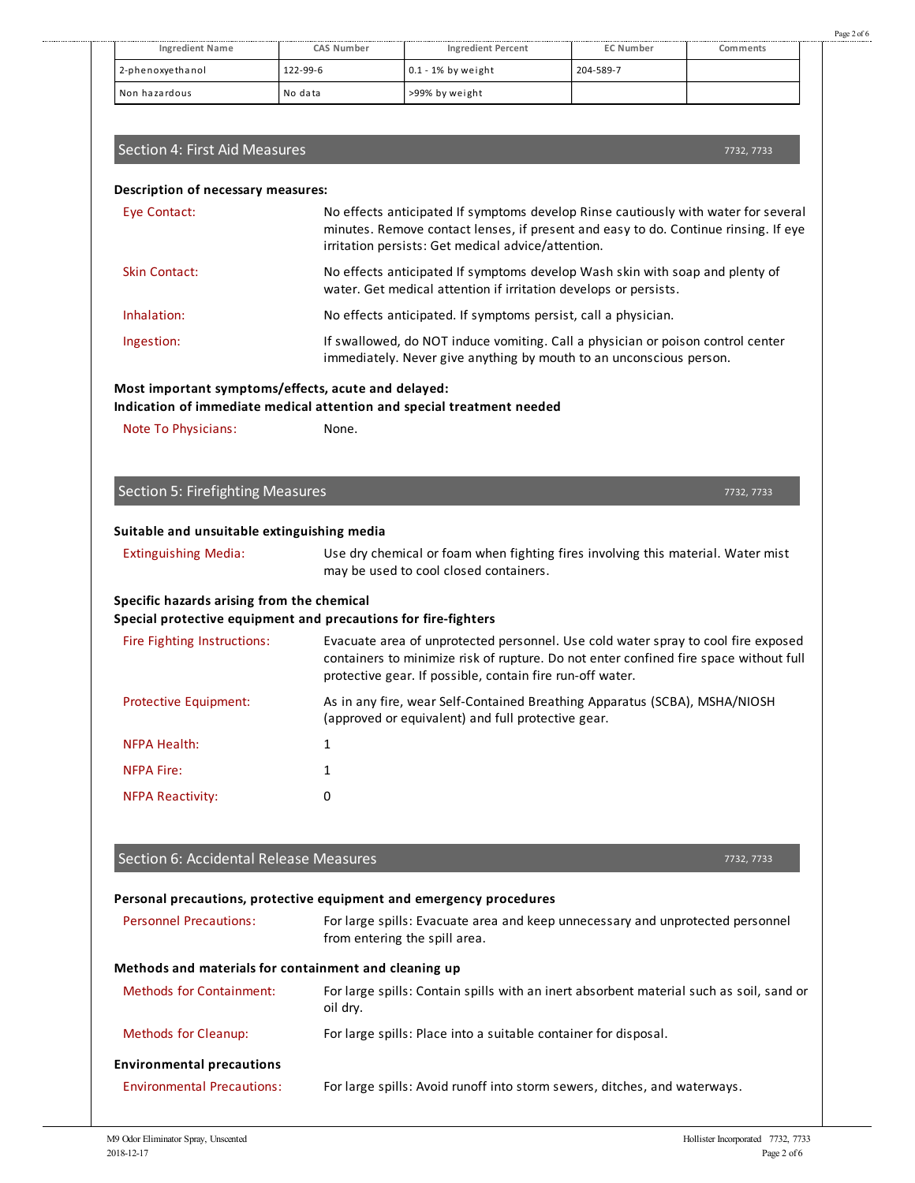| <b>Ingredient Name</b>                                                                                       | CAS Number | <b>Ingredient Percent</b>                                                                                                                                                                                                               | <b>EC Number</b> | Comments   |
|--------------------------------------------------------------------------------------------------------------|------------|-----------------------------------------------------------------------------------------------------------------------------------------------------------------------------------------------------------------------------------------|------------------|------------|
| 2-phenoxyethanol                                                                                             | 122-99-6   | 0.1 - 1% by weight                                                                                                                                                                                                                      | 204-589-7        |            |
| Non hazardous                                                                                                | No data    | >99% by weight                                                                                                                                                                                                                          |                  |            |
|                                                                                                              |            |                                                                                                                                                                                                                                         |                  |            |
| Section 4: First Aid Measures                                                                                |            |                                                                                                                                                                                                                                         |                  | 7732, 7733 |
| Description of necessary measures:                                                                           |            |                                                                                                                                                                                                                                         |                  |            |
| Eye Contact:                                                                                                 |            | No effects anticipated If symptoms develop Rinse cautiously with water for several<br>minutes. Remove contact lenses, if present and easy to do. Continue rinsing. If eye<br>irritation persists: Get medical advice/attention.         |                  |            |
| <b>Skin Contact:</b>                                                                                         |            | No effects anticipated If symptoms develop Wash skin with soap and plenty of<br>water. Get medical attention if irritation develops or persists.                                                                                        |                  |            |
| Inhalation:                                                                                                  |            | No effects anticipated. If symptoms persist, call a physician.                                                                                                                                                                          |                  |            |
| Ingestion:                                                                                                   |            | If swallowed, do NOT induce vomiting. Call a physician or poison control center<br>immediately. Never give anything by mouth to an unconscious person.                                                                                  |                  |            |
| Most important symptoms/effects, acute and delayed:                                                          |            |                                                                                                                                                                                                                                         |                  |            |
| Indication of immediate medical attention and special treatment needed                                       |            |                                                                                                                                                                                                                                         |                  |            |
| Note To Physicians:                                                                                          | None.      |                                                                                                                                                                                                                                         |                  |            |
|                                                                                                              |            |                                                                                                                                                                                                                                         |                  |            |
| <b>Section 5: Firefighting Measures</b>                                                                      |            |                                                                                                                                                                                                                                         |                  | 7732, 7733 |
|                                                                                                              |            |                                                                                                                                                                                                                                         |                  |            |
| Suitable and unsuitable extinguishing media                                                                  |            |                                                                                                                                                                                                                                         |                  |            |
| <b>Extinguishing Media:</b>                                                                                  |            | Use dry chemical or foam when fighting fires involving this material. Water mist<br>may be used to cool closed containers.                                                                                                              |                  |            |
| Specific hazards arising from the chemical<br>Special protective equipment and precautions for fire-fighters |            |                                                                                                                                                                                                                                         |                  |            |
| Fire Fighting Instructions:                                                                                  |            | Evacuate area of unprotected personnel. Use cold water spray to cool fire exposed<br>containers to minimize risk of rupture. Do not enter confined fire space without full<br>protective gear. If possible, contain fire run-off water. |                  |            |
| Protective Equipment:                                                                                        |            | As in any fire, wear Self-Contained Breathing Apparatus (SCBA), MSHA/NIOSH<br>(approved or equivalent) and full protective gear.                                                                                                        |                  |            |
| <b>NFPA Health:</b>                                                                                          | 1          |                                                                                                                                                                                                                                         |                  |            |
| <b>NFPA Fire:</b>                                                                                            | 1          |                                                                                                                                                                                                                                         |                  |            |
| <b>NFPA Reactivity:</b>                                                                                      | 0          |                                                                                                                                                                                                                                         |                  |            |
|                                                                                                              |            |                                                                                                                                                                                                                                         |                  |            |
| Section 6: Accidental Release Measures                                                                       |            |                                                                                                                                                                                                                                         |                  | 7732, 7733 |
| Personal precautions, protective equipment and emergency procedures                                          |            |                                                                                                                                                                                                                                         |                  |            |
| <b>Personnel Precautions:</b>                                                                                |            | For large spills: Evacuate area and keep unnecessary and unprotected personnel<br>from entering the spill area.                                                                                                                         |                  |            |
| Methods and materials for containment and cleaning up                                                        |            |                                                                                                                                                                                                                                         |                  |            |
| <b>Methods for Containment:</b>                                                                              |            | For large spills: Contain spills with an inert absorbent material such as soil, sand or                                                                                                                                                 |                  |            |
|                                                                                                              | oil dry.   |                                                                                                                                                                                                                                         |                  |            |
| <b>Methods for Cleanup:</b>                                                                                  |            | For large spills: Place into a suitable container for disposal.                                                                                                                                                                         |                  |            |

# **Environmental precautions**

Environmental Precautions: For large spills: Avoid runoff into storm sewers, ditches, and waterways.

Page 2 of 6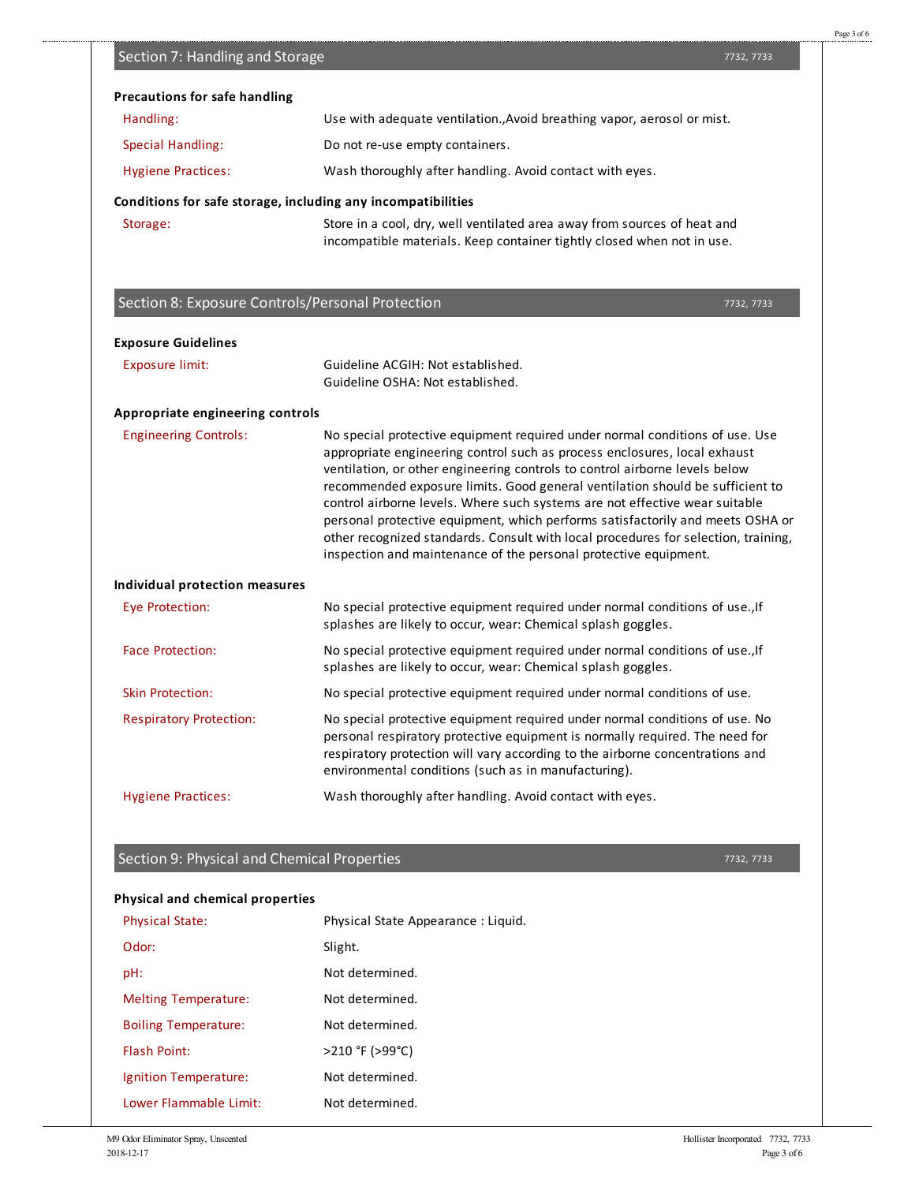| $\overline{\phantom{a}}$ |  |  |
|--------------------------|--|--|
|                          |  |  |
|                          |  |  |
|                          |  |  |
|                          |  |  |
|                          |  |  |
|                          |  |  |
|                          |  |  |
|                          |  |  |
|                          |  |  |
|                          |  |  |
|                          |  |  |
|                          |  |  |
|                          |  |  |

| Storage:                                         | Store in a cool, dry, well ventilated area away from sources of heat and<br>incompatible materials. Keep container tightly closed when not in use.                                                                                                                                                                                                                                                                                                                                                                                                                                                                                                   |            |
|--------------------------------------------------|------------------------------------------------------------------------------------------------------------------------------------------------------------------------------------------------------------------------------------------------------------------------------------------------------------------------------------------------------------------------------------------------------------------------------------------------------------------------------------------------------------------------------------------------------------------------------------------------------------------------------------------------------|------------|
| Section 8: Exposure Controls/Personal Protection |                                                                                                                                                                                                                                                                                                                                                                                                                                                                                                                                                                                                                                                      | 7732, 7733 |
| <b>Exposure Guidelines</b>                       |                                                                                                                                                                                                                                                                                                                                                                                                                                                                                                                                                                                                                                                      |            |
| <b>Exposure limit:</b>                           | Guideline ACGIH: Not established.<br>Guideline OSHA: Not established.                                                                                                                                                                                                                                                                                                                                                                                                                                                                                                                                                                                |            |
| Appropriate engineering controls                 |                                                                                                                                                                                                                                                                                                                                                                                                                                                                                                                                                                                                                                                      |            |
| <b>Engineering Controls:</b>                     | No special protective equipment required under normal conditions of use. Use<br>appropriate engineering control such as process enclosures, local exhaust<br>ventilation, or other engineering controls to control airborne levels below<br>recommended exposure limits. Good general ventilation should be sufficient to<br>control airborne levels. Where such systems are not effective wear suitable<br>personal protective equipment, which performs satisfactorily and meets OSHA or<br>other recognized standards. Consult with local procedures for selection, training,<br>inspection and maintenance of the personal protective equipment. |            |
| <b>Individual protection measures</b>            |                                                                                                                                                                                                                                                                                                                                                                                                                                                                                                                                                                                                                                                      |            |
| <b>Eye Protection:</b>                           | No special protective equipment required under normal conditions of use., If<br>splashes are likely to occur, wear: Chemical splash goggles.                                                                                                                                                                                                                                                                                                                                                                                                                                                                                                         |            |
| <b>Face Protection:</b>                          | No special protective equipment required under normal conditions of use., If<br>splashes are likely to occur, wear: Chemical splash goggles.                                                                                                                                                                                                                                                                                                                                                                                                                                                                                                         |            |
| <b>Skin Protection:</b>                          | No special protective equipment required under normal conditions of use.                                                                                                                                                                                                                                                                                                                                                                                                                                                                                                                                                                             |            |
| <b>Respiratory Protection:</b>                   | No special protective equipment required under normal conditions of use. No<br>personal respiratory protective equipment is normally required. The need for<br>respiratory protection will vary according to the airborne concentrations and<br>environmental conditions (such as in manufacturing).                                                                                                                                                                                                                                                                                                                                                 |            |
| <b>Hygiene Practices:</b>                        | Wash thoroughly after handling. Avoid contact with eyes.                                                                                                                                                                                                                                                                                                                                                                                                                                                                                                                                                                                             |            |

Handling: Use with adequate ventilation.,Avoid breathing vapor, aerosol or mist.

Hygiene Practices: Wash thoroughly after handling. Avoid contact with eyes.

Special Handling: Do not re-use empty containers.

**Conditions for safe storage, including any incompatibilities**

**Precautions for safe handling**

Section 7: Handling and Storage

# Section 9: Physical and Chemical Properties

## **Physical and chemical properties**

| <b>Physical State:</b>      | Physical State Appearance: Liquid. |
|-----------------------------|------------------------------------|
| Odor:                       | Slight.                            |
| pH:                         | Not determined.                    |
| <b>Melting Temperature:</b> | Not determined.                    |
| <b>Boiling Temperature:</b> | Not determined.                    |
| <b>Flash Point:</b>         | >210 °F (>99°C)                    |
| Ignition Temperature:       | Not determined.                    |
| Lower Flammable Limit:      | Not determined.                    |

Page 3 of 6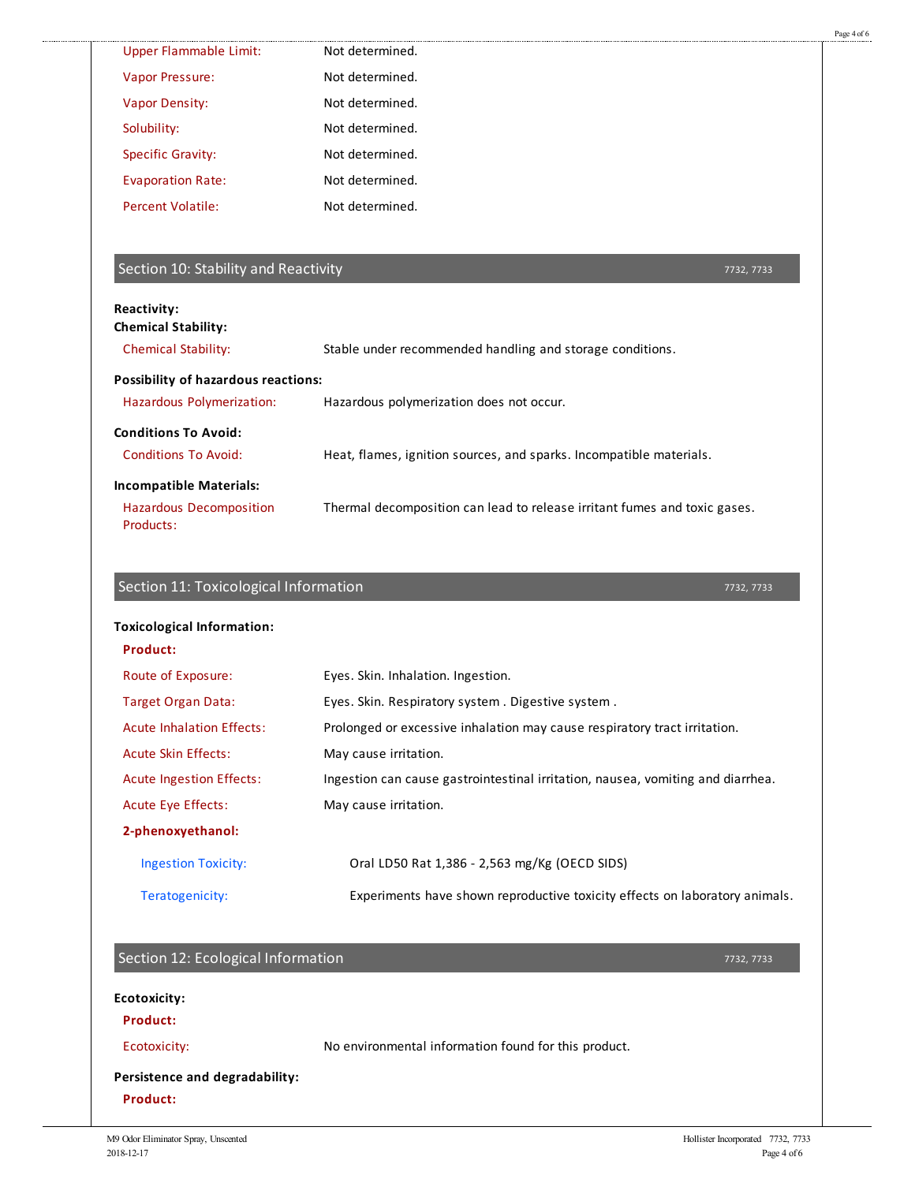| <b>Upper Flammable Limit:</b><br>Not determined.<br>Not determined.<br>Vapor Pressure:<br><b>Vapor Density:</b><br>Not determined.<br>Solubility:<br>Not determined.<br>Not determined.<br><b>Specific Gravity:</b><br>Not determined.<br><b>Evaporation Rate:</b><br><b>Percent Volatile:</b><br>Not determined.<br>Section 10: Stability and Reactivity<br>Reactivity:<br><b>Chemical Stability:</b><br><b>Chemical Stability:</b><br>Stable under recommended handling and storage conditions.<br><b>Possibility of hazardous reactions:</b><br>Hazardous Polymerization:<br>Hazardous polymerization does not occur.<br><b>Conditions To Avoid:</b><br><b>Conditions To Avoid:</b><br>Heat, flames, ignition sources, and sparks. Incompatible materials.<br><b>Incompatible Materials:</b><br><b>Hazardous Decomposition</b><br>Thermal decomposition can lead to release irritant fumes and toxic gases.<br>Products:<br>Section 11: Toxicological Information<br><b>Toxicological Information:</b><br>Product:<br>Eyes. Skin. Inhalation. Ingestion.<br>Route of Exposure:<br>Target Organ Data:<br>Eyes. Skin. Respiratory system. Digestive system. | 7732, 7733                                                                  |
|--------------------------------------------------------------------------------------------------------------------------------------------------------------------------------------------------------------------------------------------------------------------------------------------------------------------------------------------------------------------------------------------------------------------------------------------------------------------------------------------------------------------------------------------------------------------------------------------------------------------------------------------------------------------------------------------------------------------------------------------------------------------------------------------------------------------------------------------------------------------------------------------------------------------------------------------------------------------------------------------------------------------------------------------------------------------------------------------------------------------------------------------------------------|-----------------------------------------------------------------------------|
|                                                                                                                                                                                                                                                                                                                                                                                                                                                                                                                                                                                                                                                                                                                                                                                                                                                                                                                                                                                                                                                                                                                                                              |                                                                             |
|                                                                                                                                                                                                                                                                                                                                                                                                                                                                                                                                                                                                                                                                                                                                                                                                                                                                                                                                                                                                                                                                                                                                                              |                                                                             |
|                                                                                                                                                                                                                                                                                                                                                                                                                                                                                                                                                                                                                                                                                                                                                                                                                                                                                                                                                                                                                                                                                                                                                              |                                                                             |
|                                                                                                                                                                                                                                                                                                                                                                                                                                                                                                                                                                                                                                                                                                                                                                                                                                                                                                                                                                                                                                                                                                                                                              |                                                                             |
|                                                                                                                                                                                                                                                                                                                                                                                                                                                                                                                                                                                                                                                                                                                                                                                                                                                                                                                                                                                                                                                                                                                                                              |                                                                             |
|                                                                                                                                                                                                                                                                                                                                                                                                                                                                                                                                                                                                                                                                                                                                                                                                                                                                                                                                                                                                                                                                                                                                                              |                                                                             |
|                                                                                                                                                                                                                                                                                                                                                                                                                                                                                                                                                                                                                                                                                                                                                                                                                                                                                                                                                                                                                                                                                                                                                              |                                                                             |
|                                                                                                                                                                                                                                                                                                                                                                                                                                                                                                                                                                                                                                                                                                                                                                                                                                                                                                                                                                                                                                                                                                                                                              |                                                                             |
|                                                                                                                                                                                                                                                                                                                                                                                                                                                                                                                                                                                                                                                                                                                                                                                                                                                                                                                                                                                                                                                                                                                                                              |                                                                             |
|                                                                                                                                                                                                                                                                                                                                                                                                                                                                                                                                                                                                                                                                                                                                                                                                                                                                                                                                                                                                                                                                                                                                                              |                                                                             |
|                                                                                                                                                                                                                                                                                                                                                                                                                                                                                                                                                                                                                                                                                                                                                                                                                                                                                                                                                                                                                                                                                                                                                              |                                                                             |
|                                                                                                                                                                                                                                                                                                                                                                                                                                                                                                                                                                                                                                                                                                                                                                                                                                                                                                                                                                                                                                                                                                                                                              |                                                                             |
|                                                                                                                                                                                                                                                                                                                                                                                                                                                                                                                                                                                                                                                                                                                                                                                                                                                                                                                                                                                                                                                                                                                                                              |                                                                             |
|                                                                                                                                                                                                                                                                                                                                                                                                                                                                                                                                                                                                                                                                                                                                                                                                                                                                                                                                                                                                                                                                                                                                                              |                                                                             |
|                                                                                                                                                                                                                                                                                                                                                                                                                                                                                                                                                                                                                                                                                                                                                                                                                                                                                                                                                                                                                                                                                                                                                              |                                                                             |
|                                                                                                                                                                                                                                                                                                                                                                                                                                                                                                                                                                                                                                                                                                                                                                                                                                                                                                                                                                                                                                                                                                                                                              |                                                                             |
|                                                                                                                                                                                                                                                                                                                                                                                                                                                                                                                                                                                                                                                                                                                                                                                                                                                                                                                                                                                                                                                                                                                                                              |                                                                             |
|                                                                                                                                                                                                                                                                                                                                                                                                                                                                                                                                                                                                                                                                                                                                                                                                                                                                                                                                                                                                                                                                                                                                                              |                                                                             |
| Prolonged or excessive inhalation may cause respiratory tract irritation.<br><b>Acute Inhalation Effects:</b>                                                                                                                                                                                                                                                                                                                                                                                                                                                                                                                                                                                                                                                                                                                                                                                                                                                                                                                                                                                                                                                |                                                                             |
| <b>Acute Skin Effects:</b><br>May cause irritation.                                                                                                                                                                                                                                                                                                                                                                                                                                                                                                                                                                                                                                                                                                                                                                                                                                                                                                                                                                                                                                                                                                          |                                                                             |
| <b>Acute Ingestion Effects:</b><br>Ingestion can cause gastrointestinal irritation, nausea, vomiting and diarrhea.                                                                                                                                                                                                                                                                                                                                                                                                                                                                                                                                                                                                                                                                                                                                                                                                                                                                                                                                                                                                                                           |                                                                             |
| <b>Acute Eye Effects:</b><br>May cause irritation.                                                                                                                                                                                                                                                                                                                                                                                                                                                                                                                                                                                                                                                                                                                                                                                                                                                                                                                                                                                                                                                                                                           |                                                                             |
| 2-phenoxyethanol:                                                                                                                                                                                                                                                                                                                                                                                                                                                                                                                                                                                                                                                                                                                                                                                                                                                                                                                                                                                                                                                                                                                                            |                                                                             |
| <b>Ingestion Toxicity:</b><br>Oral LD50 Rat 1,386 - 2,563 mg/Kg (OECD SIDS)                                                                                                                                                                                                                                                                                                                                                                                                                                                                                                                                                                                                                                                                                                                                                                                                                                                                                                                                                                                                                                                                                  |                                                                             |
| Teratogenicity:                                                                                                                                                                                                                                                                                                                                                                                                                                                                                                                                                                                                                                                                                                                                                                                                                                                                                                                                                                                                                                                                                                                                              | Experiments have shown reproductive toxicity effects on laboratory animals. |
| Section 12: Ecological Information                                                                                                                                                                                                                                                                                                                                                                                                                                                                                                                                                                                                                                                                                                                                                                                                                                                                                                                                                                                                                                                                                                                           |                                                                             |
|                                                                                                                                                                                                                                                                                                                                                                                                                                                                                                                                                                                                                                                                                                                                                                                                                                                                                                                                                                                                                                                                                                                                                              | 7732, 7733                                                                  |
| <b>Ecotoxicity:</b>                                                                                                                                                                                                                                                                                                                                                                                                                                                                                                                                                                                                                                                                                                                                                                                                                                                                                                                                                                                                                                                                                                                                          |                                                                             |
| Product:                                                                                                                                                                                                                                                                                                                                                                                                                                                                                                                                                                                                                                                                                                                                                                                                                                                                                                                                                                                                                                                                                                                                                     |                                                                             |
| No environmental information found for this product.<br>Ecotoxicity:                                                                                                                                                                                                                                                                                                                                                                                                                                                                                                                                                                                                                                                                                                                                                                                                                                                                                                                                                                                                                                                                                         |                                                                             |
| Persistence and degradability:<br><b>Product:</b>                                                                                                                                                                                                                                                                                                                                                                                                                                                                                                                                                                                                                                                                                                                                                                                                                                                                                                                                                                                                                                                                                                            |                                                                             |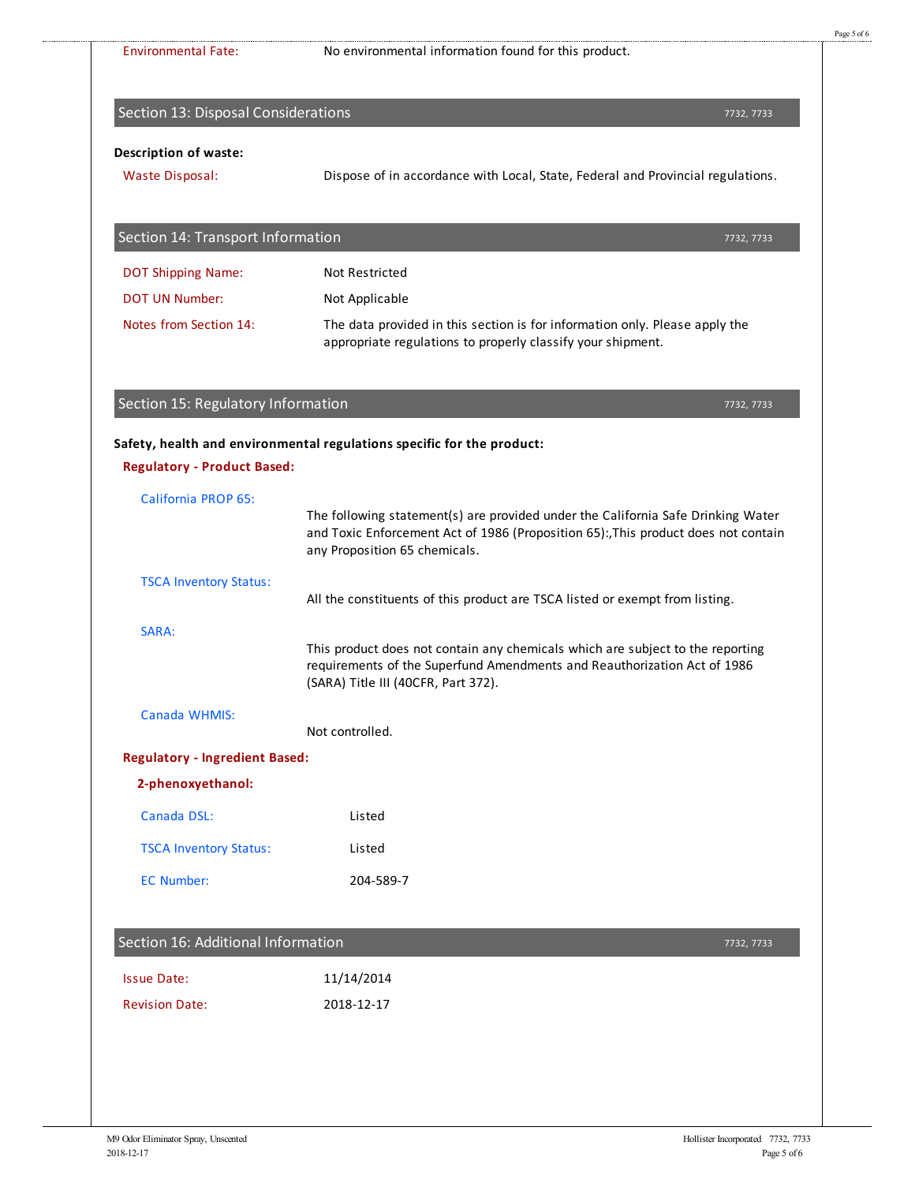| <b>Environmental Fate:</b>                             | No environmental information found for this product.                                                                                                                                              |  |
|--------------------------------------------------------|---------------------------------------------------------------------------------------------------------------------------------------------------------------------------------------------------|--|
| Section 13: Disposal Considerations                    | 7732, 7733                                                                                                                                                                                        |  |
| <b>Description of waste:</b><br><b>Waste Disposal:</b> | Dispose of in accordance with Local, State, Federal and Provincial regulations.                                                                                                                   |  |
| Section 14: Transport Information                      | 7732, 7733                                                                                                                                                                                        |  |
| <b>DOT Shipping Name:</b>                              | <b>Not Restricted</b>                                                                                                                                                                             |  |
| <b>DOT UN Number:</b>                                  | Not Applicable                                                                                                                                                                                    |  |
| Notes from Section 14:                                 | The data provided in this section is for information only. Please apply the<br>appropriate regulations to properly classify your shipment.                                                        |  |
| Section 15: Regulatory Information                     | 7732, 7733                                                                                                                                                                                        |  |
| <b>Regulatory - Product Based:</b>                     | Safety, health and environmental regulations specific for the product:                                                                                                                            |  |
| <b>California PROP 65:</b>                             | The following statement(s) are provided under the California Safe Drinking Water<br>and Toxic Enforcement Act of 1986 (Proposition 65): This product does not contain                             |  |
|                                                        | any Proposition 65 chemicals.                                                                                                                                                                     |  |
| <b>TSCA Inventory Status:</b>                          | All the constituents of this product are TSCA listed or exempt from listing.                                                                                                                      |  |
| SARA:                                                  | This product does not contain any chemicals which are subject to the reporting<br>requirements of the Superfund Amendments and Reauthorization Act of 1986<br>(SARA) Title III (40CFR, Part 372). |  |
| Canada WHMIS:                                          | Not controlled.                                                                                                                                                                                   |  |
| <b>Regulatory - Ingredient Based:</b>                  |                                                                                                                                                                                                   |  |
| 2-phenoxyethanol:                                      |                                                                                                                                                                                                   |  |
| Canada DSL:                                            | Listed                                                                                                                                                                                            |  |
| <b>TSCA Inventory Status:</b>                          | Listed                                                                                                                                                                                            |  |
| <b>EC Number:</b>                                      | 204-589-7                                                                                                                                                                                         |  |
| Section 16: Additional Information                     | 7732, 7733                                                                                                                                                                                        |  |
| <b>Issue Date:</b>                                     | 11/14/2014                                                                                                                                                                                        |  |

Page 5 of 6